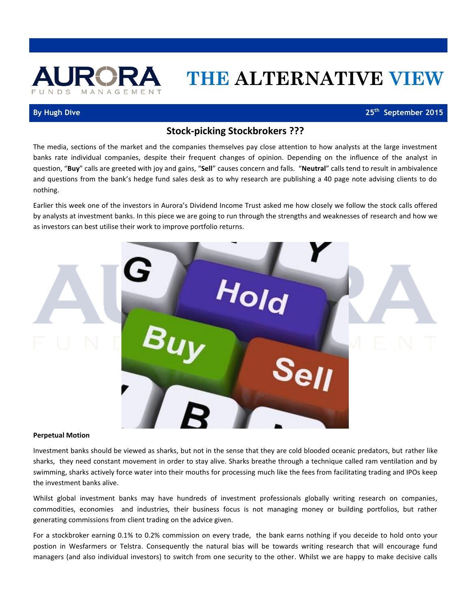

# **THE ALTERNATIVE VIEW**

## **By Hugh Dive**

25<sup>th</sup> September 2015

# **Stock-picking Stockbrokers ???**

The media, sections of the market and the companies themselves pay close attention to how analysts at the large investment banks rate individual companies, despite their frequent changes of opinion. Depending on the influence of the analyst in question, "**Buy**" calls are greeted with joy and gains, "**Sell**" causes concern and falls. "**Neutral**" calls tend to result in ambivalence and questions from the bank's hedge fund sales desk as to why research are publishing a 40 page note advising clients to do nothing.

Earlier this week one of the investors in Aurora's Dividend Income Trust asked me how closely we follow the stock calls offered by analysts at investment banks. In this piece we are going to run through the strengths and weaknesses of research and how we as investors can best utilise their work to improve portfolio returns.



#### **Perpetual Motion**

Investment banks should be viewed as sharks, but not in the sense that they are cold blooded oceanic predators, but rather like sharks, they need constant movement in order to stay alive. Sharks breathe through a technique called ram ventilation and by swimming, sharks actively force water into their mouths for processing much like the fees from facilitating trading and IPOs keep the investment banks alive.

Whilst global investment banks may have hundreds of investment professionals globally writing research on companies, commodities, economies and industries, their business focus is not managing money or building portfolios, but rather generating commissions from client trading on the advice given.

For a stockbroker earning 0.1% to 0.2% commission on every trade, the bank earns nothing if you deceide to hold onto your postion in Wesfarmers or Telstra. Consequently the natural bias will be towards writing research that will encourage fund managers (and also individual investors) to switch from one security to the other. Whilst we are happy to make decisive calls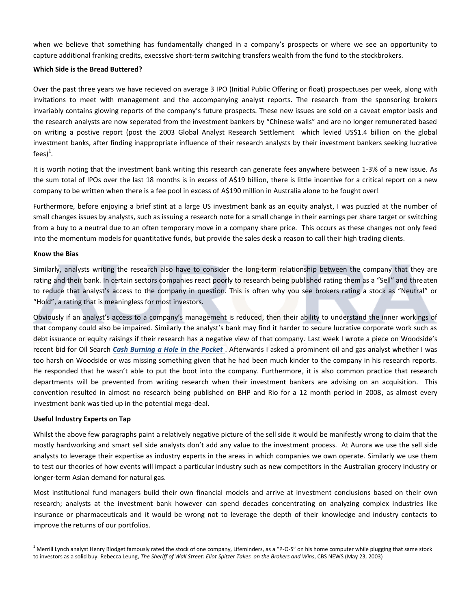when we believe that something has fundamentally changed in a company's prospects or where we see an opportunity to capture additional franking credits, execssive short-term switching transfers wealth from the fund to the stockbrokers.

#### **Which Side is the Bread Buttered?**

Over the past three years we have recieved on average 3 IPO (Initial Public Offering or float) prospectuses per week, along with invitations to meet with management and the accompanying analyst reports. The research from the sponsoring brokers invariably contains glowing reports of the company's future prospects. These new issues are sold on a caveat emptor basis and the research analysts are now seperated from the investment bankers by "Chinese walls" and are no longer remunerated based on writing a postive report (post the 2003 Global Analyst Research Settlement which levied US\$1.4 billion on the global investment banks, after finding inappropriate influence of their research analysts by their investment bankers seeking lucrative fees) $^1$ .

It is worth noting that the investment bank writing this research can generate fees anywhere between 1-3% of a new issue. As the sum total of IPOs over the last 18 months is in excess of A\$19 billion, there is little incentive for a critical report on a new company to be written when there is a fee pool in excess of A\$190 million in Australia alone to be fought over!

Furthermore, before enjoying a brief stint at a large US investment bank as an equity analyst, I was puzzled at the number of small changes issues by analysts, such as issuing a research note for a small change in their earnings per share target or switching from a buy to a neutral due to an often temporary move in a company share price. This occurs as these changes not only feed into the momentum models for quantitative funds, but provide the sales desk a reason to call their high trading clients.

### **Know the Bias**

Similarly, analysts writing the research also have to consider the long-term relationship between the company that they are rating and their bank. In certain sectors companies react poorly to research being published rating them as a "Sell" and threaten to reduce that analyst's access to the company in question. This is often why you see brokers rating a stock as "Neutral" or "Hold", a rating that is meaningless for most investors.

Obviously if an analyst's access to a company's management is reduced, then their ability to understand the inner workings of that company could also be impaired. Similarly the analyst's bank may find it harder to secure lucrative corporate work such as debt issuance or equity raisings if their research has a negative view of that company. Last week I wrote a piece on Woodside's recent bid for Oil Search *[Cash Burning a Hole in the Pocket](http://www.aurorafunds.com.au/wp-content/uploads/Must-Spend-Cash-18th-September-2015.pdf)* . Afterwards I asked a prominent oil and gas analyst whether I was too harsh on Woodside or was missing something given that he had been much kinder to the company in his research reports. He responded that he wasn't able to put the boot into the company. Furthermore, it is also common practice that research departments will be prevented from writing research when their investment bankers are advising on an acquisition. This convention resulted in almost no research being published on BHP and Rio for a 12 month period in 2008, as almost every investment bank was tied up in the potential mega-deal.

#### **Useful Industry Experts on Tap**

 $\overline{a}$ 

Whilst the above few paragraphs paint a relatively negative picture of the sell side it would be manifestly wrong to claim that the mostly hardworking and smart sell side analysts don't add any value to the investment process. At Aurora we use the sell side analysts to leverage their expertise as industry experts in the areas in which companies we own operate. Similarly we use them to test our theories of how events will impact a particular industry such as new competitors in the Australian grocery industry or longer-term Asian demand for natural gas.

Most institutional fund managers build their own financial models and arrive at investment conclusions based on their own research; analysts at the investment bank however can spend decades concentrating on analyzing complex industries like insurance or pharmaceuticals and it would be wrong not to leverage the depth of their knowledge and industry contacts to improve the returns of our portfolios.

 $1$  Merrill Lynch analyst Henry Blodget famously rated the stock of one company, Lifeminders, as a "P-O-S" on his home computer while plugging that same stock to investors as a solid buy. Rebecca Leung, *The Sheriff of Wall Street: Eliot Spitzer Takes on the Brokers and Wins*, CBS NEWS (May 23, 2003)